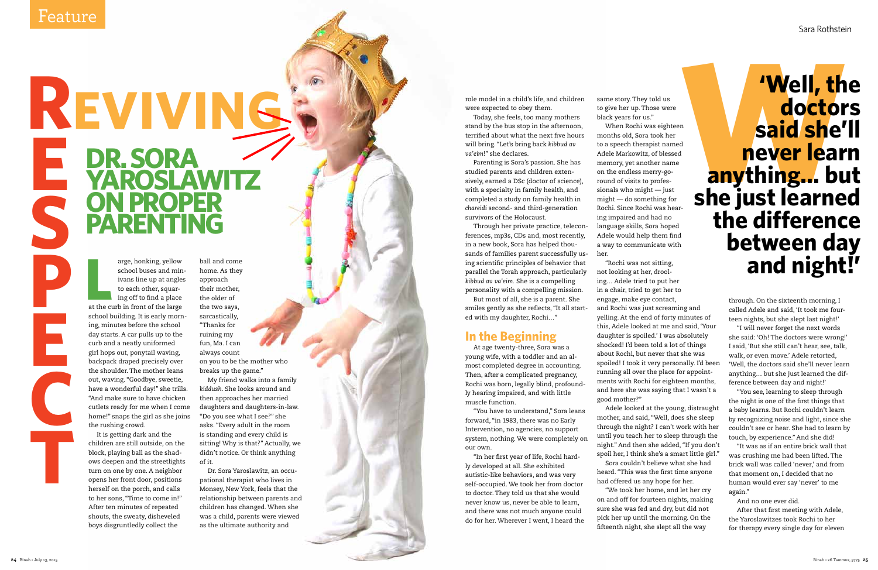arge, honking, yellow<br>
school buses and min<br>
ivans line up at angles<br>
to each other, squar-<br>
ing off to find a place<br>
at the curb in front of the large arge, honking, yellow school buses and min ivans line up at angles to each other, squar ing off to find a place school building. It is early morn ing, minutes before the school day starts. A car pulls up to the curb and a neatly uniformed girl hops out, ponytail waving, backpack draped precisely over the shoulder. The mother leans out, waving. "Goodbye, sweetie, have a wonderful day!" she trills. "And make sure to have chicken cutlets ready for me when I come home!" snaps the girl as she joins the rushing crowd.

It is getting dark and the children are still outside, on the block, playing ball as the shad ows deepen and the streetlights turn on one by one. A neighbor opens her front door, positions herself on the porch, and calls to her sons, "Time to come in!" After ten minutes of repeated shouts, the sweaty, disheveled boys disgruntledly collect the

ball and come home. As they approach their mother, the older of the two says, sarcastically, "Thanks for ruining my fun, Ma. I can always count on you to be the mother who breaks up the game."

My friend walks into a family *kiddush*. She looks around and then approaches her married daughters and daughters-in-law. "Do you see what I see?" she asks. "Every adult in the room is standing and every child is sitting! Why is that?" Actually, we didn't notice. Or think anything of it.

Dr. Sora Yaroslawitz, an occu pational therapist who lives in Monsey, New York, feels that the relationship between parents and children has changed. When she was a child, parents were viewed as the ultimate authority and

D

# **REVIVING DR. SORA YAROSLAWITZ ON PROPER PARENTING ESPECTE**

role model in a child's life, and children were expected to obey them.

Today, she feels, too many mothers stand by the bus stop in the afternoon, terrified about what the next five hours will bring. "Let's bring back *kibbud av va'eim*!" she declares.

Parenting is Sora's passion. She has studied parents and children exten sively, earned a DSc (doctor of science), with a specialty in family health, and completed a study on family health in *chareidi* second- and third-generation survivors of the Holocaust.

Through her private practice, telecon ferences, mp3s, CDs and, most recently, in a new book, Sora has helped thou sands of families parent successfully us ing scientific principles of behavior that parallel the Torah approach, particularly *kibbud av va'eim.* She is a compelling personality with a compelling mission.

But most of all, she is a parent. She smiles gently as she reflects, "It all start ed with my daughter, Rochi…"

## **In the Beginning**

At age twenty-three, Sora was a young wife, with a toddler and an al most completed degree in accounting. Then, after a complicated pregnancy, Rochi was born, legally blind, profound ly hearing impaired, and with little muscle function.

"You have to understand," Sora leans forward, "in 1983, there was no Early Intervention, no agencies, no support system, nothing. We were completely on our own.

# **Well, the<br>doctors<br>said she'll<br>never learn<br>anything... but<br>she just learned 'Well, the doctors said she'll never learn anything… but the difference between day and night!'**

"In her first year of life, Rochi hard ly developed at all. She exhibited autistic-like behaviors, and was very self-occupied. We took her from doctor to doctor. They told us that she would never know us, never be able to learn, and there was not much anyone could do for her. Wherever I went, I heard the same story. They told us to give her up. Those were black years for us."

When Rochi was eighteen months old, Sora took her to a speech therapist named Adele Markowitz, of blessed memory, yet another name on the endless merry-goround of visits to professionals who might — just might — do something for Rochi. Since Rochi was hear ing impaired and had no language skills, Sora hoped Adele would help them find a way to communicate with her.

"Rochi was not sitting, not looking at her, drool ing… Adele tried to put her in a chair, tried to get her to engage, make eye contact, and Rochi was just screaming and yelling. At the end of forty minutes of this, Adele looked at me and said, 'Your daughter is spoiled.' I was absolutely shocked! I'd been told a lot of things about Rochi, but never that she was spoiled! I took it very personally. I'd been running all over the place for appoint ments with Rochi for eighteen months, and here she was saying that I wasn't a good mother?"

Adele looked at the young, distraught mother, and said, "Well, does she sleep through the night? I can't work with her until you teach her to sleep through the night." And then she added, "If you don't spoil her, I think she's a smart little girl." Sora couldn't believe what she had heard. "This was the first time anyone had offered us any hope for her.

"We took her home, and let her cry on and off for fourteen nights, making sure she was fed and dry, but did not pick her up until the morning. On the fifteenth night, she slept all the way

through. On the sixteenth morning, I called Adele and said, 'It took me four teen nights, but she slept last night!'

"I will never forget the next words she said: 'Oh! The doctors were wrong!' I said, 'But she still can't hear, see, talk, walk, or even move.' Adele retorted, 'Well, the doctors said she'll never learn anything… but she just learned the dif ference between day and night!'

"You see, learning to sleep through the night is one of the first things that a baby learns. But Rochi couldn't learn by recognizing noise and light, since she couldn't see or hear. She had to learn by touch, by experience." And she did!

"It was as if an entire brick wall that was crushing me had been lifted. The brick wall was called 'never,' and from that moment on, I decided that no human would ever say 'never' to me again."

And no one ever did.

After that first meeting with Adele, the Yaroslawitzes took Rochi to her for therapy every single day for eleven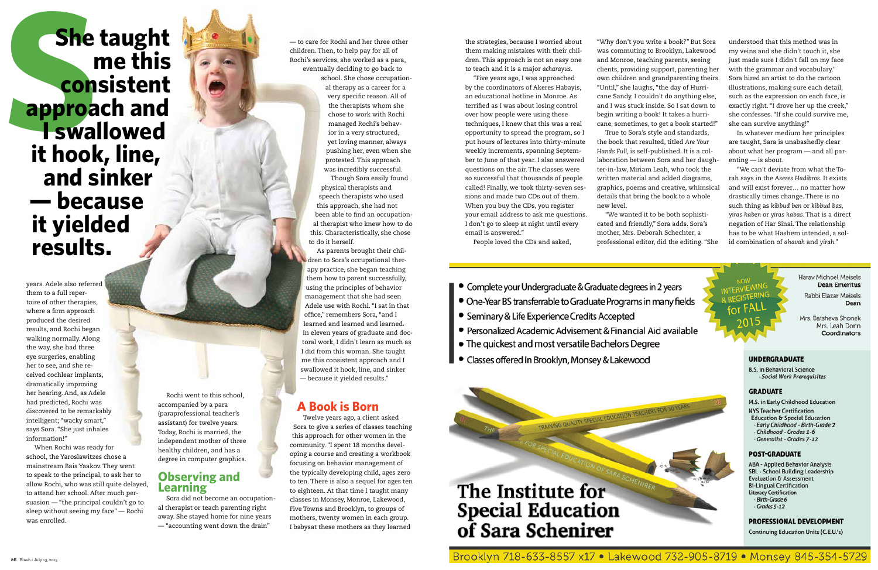years. Adele also referred them to a full repertoire of other therapies, where a firm approach produced the desired results, and Rochi began walking normally. Along the way, she had three eye surgeries, enabling her to see, and she received cochlear implants, dramatically improving her hearing. And, as Adele had predicted, Rochi was discovered to be remarkably intelligent; "wacky smart," says Sora. "She just inhales information!"

When Rochi was ready for school, the Yaroslawitzes chose a mainstream Bais Yaakov. They went to speak to the principal, to ask her to allow Rochi, who was still quite delayed, to attend her school. After much persuasion — "the principal couldn't go to sleep without seeing my face" — Rochi was enrolled.

Rochi went to this school, accompanied by a para (paraprofessional teacher's assistant) for twelve years. Today, Rochi is married, the independent mother of three healthy children, and has a degree in computer graphics.

## **Observing and Learning**

Sora did not become an occupational therapist or teach parenting right away. She stayed home for nine years — "accounting went down the drain"

— to care for Rochi and her three other children. Then, to help pay for all of Rochi's services, she worked as a para, eventually deciding to go back to school. She chose occupation-

al therapy as a career for a very specific reason. All of the therapists whom she chose to work with Rochi managed Rochi's behavior in a very structured, yet loving manner, always pushing her, even when she protested. This approach was incredibly successful. Though Sora easily found

physical therapists and speech therapists who used this approach, she had not been able to find an occupational therapist who knew how to do this. Characteristically, she chose to do it herself.

As parents brought their children to Sora's occupational therapy practice, she began teaching them how to parent successfully, using the principles of behavior management that she had seen Adele use with Rochi. "I sat in that office," remembers Sora, "and I learned and learned and learned. In eleven years of graduate and doctoral work, I didn't learn as much as I did from this woman. She taught me this consistent approach and I swallowed it hook, line, and sinker — because it yielded results."

## **A Book is Born**

Twelve years ago, a client asked Sora to give a series of classes teaching this approach for other women in the community. "I spent 18 months developing a course and creating a workbook focusing on behavior management of the typically developing child, ages zero to ten. There is also a sequel for ages ten to eighteen. At that time I taught many classes in Monsey, Monroe, Lakewood, Five Towns and Brooklyn, to groups of mothers, twenty women in each group. I babysat these mothers as they learned

**She taught**<br>
and the strategies, because I worried about<br>
the strategies, because I worried about<br>
the strategies, because I worried about<br> **SHERICE SECRIPTION CONSISTENT**<br> **EXAMPLE SECRIPTION CONSISTENT AND CONSISTENT AN She taught me this consistent approach and I swallowed it hook, line, and sinker — because it yielded results.**

them making mistakes with their children. This approach is not an easy one to teach and it is a major *acharayus*.

"Five years ago, I was approached by the coordinators of Akeres Habayis, an educational hotline in Monroe. As terrified as I was about losing control over how people were using these techniques, I knew that this was a real opportunity to spread the program, so I put hours of lectures into thirty-minute weekly increments, spanning September to June of that year. I also answered questions on the air. The classes were so successful that thousands of people called! Finally, we took thirty-seven sessions and made two CDs out of them. When you buy the CDs, you register your email address to ask me questions. I don't go to sleep at night until every email is answered." People loved the CDs and asked,

"Why don't you write a book?" But Sora was commuting to Brooklyn, Lakewood and Monroe, teaching parents, seeing clients, providing support, parenting her own children and grandparenting theirs. "Until," she laughs, "the day of Hurricane Sandy. I couldn't do anything else, and I was stuck inside. So I sat down to begin writing a book! It takes a hurricane, sometimes, to get a book started!" the book that resulted, titled *Are Your Hands Full*, is self-published. It is a collaboration between Sora and her daughter-in-law, Miriam Leah, who took the written material and added diagrams, graphics, poems and creative, whimsical details that bring the book to a whole new level.

True to Sora's style and standards,

"We wanted it to be both sophisticated and friendly," Sora adds. Sora's mother, Mrs. Deborah Schechter, a professional editor, did the editing. "She

- 
- Complete your Undergraduate & Graduate degrees in 2 years
- One-Year BS transferrable to Graduate Programs in many fields
- Seminary & Life Experience Credits Accepted
- Personalized Academic Advisement & Financial Aid available
- The quickest and most versatile Bachelors Degree
- Classes offered in Brooklyn, Monsey & Lakewood

TRAINING QUALITY SPECIAL EDUCATION TEACHERS FOR

# The Institute for **Special Education** of Sara Schenirer

Brooklyn 718-633-8557 x17 . Lakewood 732-905-8719 . Monsey 845-354-5729

understood that this method was in my veins and she didn't touch it, she just made sure I didn't fall on my face with the grammar and vocabulary." Sora hired an artist to do the cartoon illustrations, making sure each detail, such as the expression on each face, is exactly right. "I drove her up the creek," she confesses. "If she could survive me, she can survive anything!"

In whatever medium her principles are taught, Sara is unabashedly clear about what her program — and all parenting — is about.

"We can't deviate from what the Torah says in the *Aseres Hadibros*. It exists and will exist forever… no matter how drastically times change. There is no such thing as *kibbud ben* or *kibbud bas, yiras haben* or *yiras habas*. That is a direct negation of Har Sinai. The relationship has to be what Hashem intended, a solid combination of *ahavah* and *yirah*."



Harav Michoel Meisels **Dean Emeritus** 

Rabbi Elazar Meisels Dean

Mrs. Batsheva Shonek Mrs. Leah Donn Coordinators

#### **UNDERGRADUATE**

**B.S. in Behavioral Science** - Social Work Prerequisites

#### **GRADUATE**

M.S. in Early Childhood Education **NYS Teacher Certification** Education & Special Education

- Early Childhood Birth-Grade 2
- Childhood Grades 1-6
- Generalist Grades 7-12

#### **POST-GRADUATE**

ABA - Applied Behavior Analysis SBL - School Building Leadership **Evaluation & Assessment Bi-Lingual Certification** Literacy Certification Birth-Grade 6  $-Grades 5-12$ 

PROFESSIONAL DEVELOPMENT

**Continuing Education Units (C.E.U.'s)**